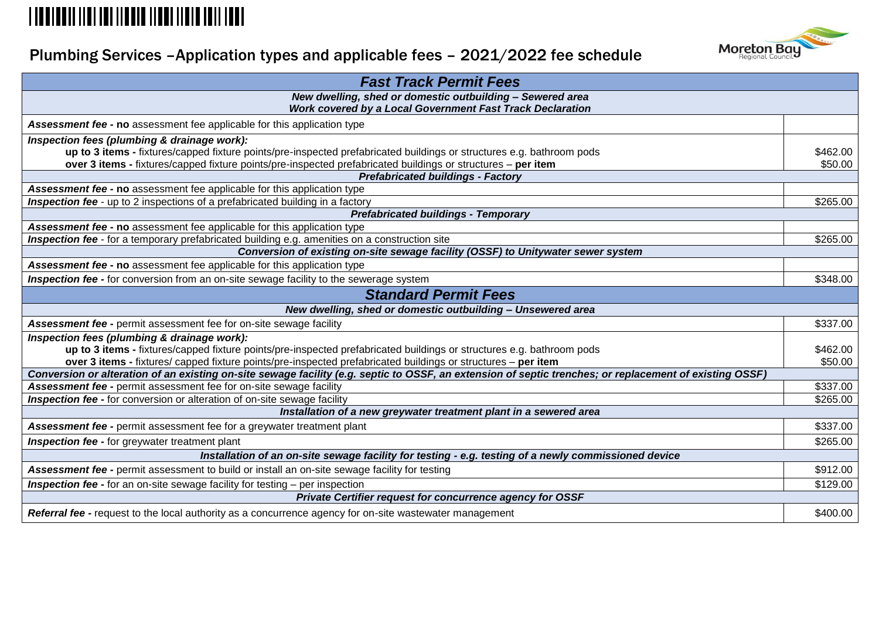# 

# Plumbing Services –Application types and applicable fees – 2021/2022 fee schedule



| <b>Fast Track Permit Fees</b>                                                                                                                           |          |
|---------------------------------------------------------------------------------------------------------------------------------------------------------|----------|
| New dwelling, shed or domestic outbuilding - Sewered area                                                                                               |          |
| Work covered by a Local Government Fast Track Declaration                                                                                               |          |
| Assessment fee - no assessment fee applicable for this application type                                                                                 |          |
| Inspection fees (plumbing & drainage work):                                                                                                             |          |
| up to 3 items - fixtures/capped fixture points/pre-inspected prefabricated buildings or structures e.g. bathroom pods                                   | \$462.00 |
| over 3 items - fixtures/capped fixture points/pre-inspected prefabricated buildings or structures - per item                                            | \$50.00  |
| <b>Prefabricated buildings - Factory</b>                                                                                                                |          |
| Assessment fee - no assessment fee applicable for this application type                                                                                 |          |
| Inspection fee - up to 2 inspections of a prefabricated building in a factory                                                                           | \$265.00 |
| <b>Prefabricated buildings - Temporary</b>                                                                                                              |          |
| Assessment fee - no assessment fee applicable for this application type                                                                                 |          |
| Inspection fee - for a temporary prefabricated building e.g. amenities on a construction site                                                           | \$265.00 |
| Conversion of existing on-site sewage facility (OSSF) to Unitywater sewer system                                                                        |          |
| <b>Assessment fee - no</b> assessment fee applicable for this application type                                                                          |          |
| <b>Inspection fee -</b> for conversion from an on-site sewage facility to the sewerage system                                                           | \$348.00 |
| <b>Standard Permit Fees</b>                                                                                                                             |          |
| New dwelling, shed or domestic outbuilding - Unsewered area                                                                                             |          |
| Assessment fee - permit assessment fee for on-site sewage facility                                                                                      | \$337.00 |
| Inspection fees (plumbing & drainage work):                                                                                                             |          |
| up to 3 items - fixtures/capped fixture points/pre-inspected prefabricated buildings or structures e.g. bathroom pods                                   | \$462.00 |
| over 3 items - fixtures/ capped fixture points/pre-inspected prefabricated buildings or structures - per item                                           | \$50.00  |
| Conversion or alteration of an existing on-site sewage facility (e.g. septic to OSSF, an extension of septic trenches; or replacement of existing OSSF) |          |
| Assessment fee - permit assessment fee for on-site sewage facility                                                                                      | \$337.00 |
| Inspection fee - for conversion or alteration of on-site sewage facility                                                                                | \$265.00 |
| Installation of a new greywater treatment plant in a sewered area                                                                                       |          |
| Assessment fee - permit assessment fee for a greywater treatment plant                                                                                  | \$337.00 |
| <b>Inspection fee -</b> for greywater treatment plant                                                                                                   | \$265.00 |
| Installation of an on-site sewage facility for testing - e.g. testing of a newly commissioned device                                                    |          |
| Assessment fee - permit assessment to build or install an on-site sewage facility for testing                                                           | \$912.00 |
| <b>Inspection fee -</b> for an on-site sewage facility for testing - per inspection                                                                     | \$129.00 |
| Private Certifier request for concurrence agency for OSSF                                                                                               |          |
| Referral fee - request to the local authority as a concurrence agency for on-site wastewater management                                                 | \$400.00 |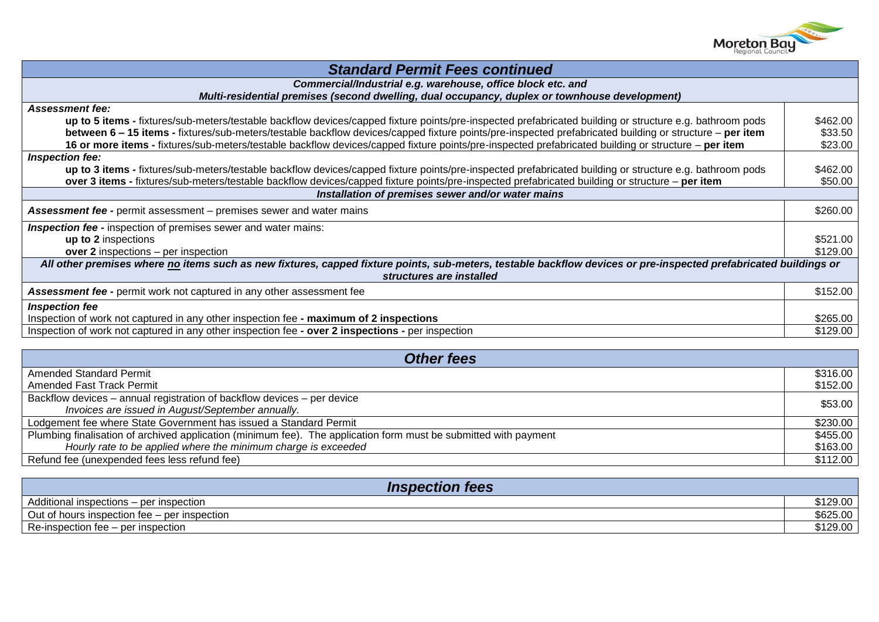

| <b>Standard Permit Fees continued</b>                                                                                                                            |          |
|------------------------------------------------------------------------------------------------------------------------------------------------------------------|----------|
| Commercial/Industrial e.g. warehouse, office block etc. and                                                                                                      |          |
| Multi-residential premises (second dwelling, dual occupancy, duplex or townhouse development)                                                                    |          |
| <b>Assessment fee:</b>                                                                                                                                           |          |
| up to 5 items - fixtures/sub-meters/testable backflow devices/capped fixture points/pre-inspected prefabricated building or structure e.g. bathroom pods         | \$462.00 |
| between 6 - 15 items - fixtures/sub-meters/testable backflow devices/capped fixture points/pre-inspected prefabricated building or structure - per item          | \$33.50  |
| 16 or more items - fixtures/sub-meters/testable backflow devices/capped fixture points/pre-inspected prefabricated building or structure - per item              | \$23.00  |
| Inspection fee:                                                                                                                                                  |          |
| up to 3 items - fixtures/sub-meters/testable backflow devices/capped fixture points/pre-inspected prefabricated building or structure e.g. bathroom pods         | \$462.00 |
| over 3 items - fixtures/sub-meters/testable backflow devices/capped fixture points/pre-inspected prefabricated building or structure - per item                  | \$50.00  |
| Installation of premises sewer and/or water mains                                                                                                                |          |
| \$260.00                                                                                                                                                         |          |
| <b>Assessment fee - permit assessment - premises sewer and water mains</b>                                                                                       |          |
| <b>Inspection fee - inspection of premises sewer and water mains:</b>                                                                                            |          |
| up to 2 inspections                                                                                                                                              |          |
| over 2 inspections – per inspection                                                                                                                              | \$129.00 |
| All other premises where no items such as new fixtures, capped fixture points, sub-meters, testable backflow devices or pre-inspected prefabricated buildings or |          |
| structures are installed                                                                                                                                         |          |
| <b>Assessment fee - permit work not captured in any other assessment fee</b>                                                                                     | \$152.00 |
| <b>Inspection fee</b>                                                                                                                                            |          |
| Inspection of work not captured in any other inspection fee - maximum of 2 inspections                                                                           | \$265.00 |
| Inspection of work not captured in any other inspection fee - over 2 inspections - per inspection                                                                | \$129.00 |

| <b>Other fees</b>                                                                                                |          |  |
|------------------------------------------------------------------------------------------------------------------|----------|--|
| <b>Amended Standard Permit</b>                                                                                   | \$316.00 |  |
| Amended Fast Track Permit                                                                                        | \$152.00 |  |
| Backflow devices – annual registration of backflow devices – per device                                          | \$53.00  |  |
| Invoices are issued in August/September annually.                                                                |          |  |
| Lodgement fee where State Government has issued a Standard Permit                                                | \$230.00 |  |
| Plumbing finalisation of archived application (minimum fee). The application form must be submitted with payment | \$455.00 |  |
| Hourly rate to be applied where the minimum charge is exceeded                                                   | \$163.00 |  |
| Refund fee (unexpended fees less refund fee)                                                                     | \$112.00 |  |

| <b>Inspection fees</b>                       |          |
|----------------------------------------------|----------|
| Additional inspections – per inspection      | \$129.00 |
| Out of hours inspection fee – per inspection | \$625.00 |
| Re-inspection fee – per inspection           | \$129.00 |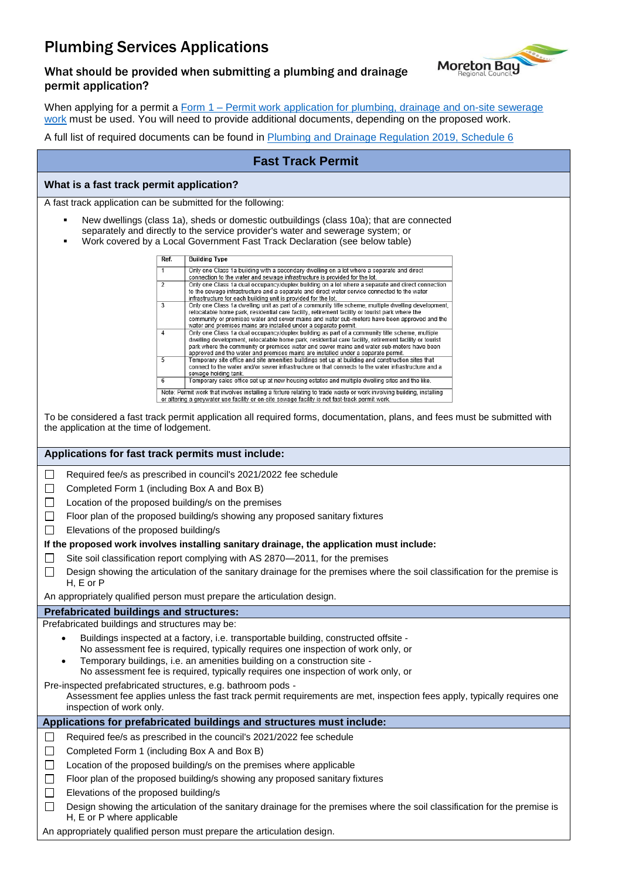# Plumbing Services Applications



#### What should be provided when submitting a plumbing and drainage permit application?

When applying for a permit a Form 1 – Permit work application for plumbing, drainage and on-site sewerage [work](https://www.hpw.qld.gov.au/__data/assets/pdf_file/0018/3762/form1plumbingdrainageregulation2019.pdf) must be used. You will need to provide additional documents, depending on the proposed work.

A full list of required documents can be found in [Plumbing and Drainage Regulation 2019, Schedule 6](https://www.legislation.qld.gov.au/view/html/inforce/current/sl-2019-0042#sch.6)

### **Fast Track Permit**

#### **What is a fast track permit application?**

A fast track application can be submitted for the following:

- New dwellings (class 1a), sheds or domestic outbuildings (class 10a); that are connected separately and directly to the service provider's water and sewerage system; or
- Work covered by a Local Government Fast Track Declaration (see below table)

| Ref.                                                                                                                                                                                                                  | <b>Building Type</b>                                                                                                                                                                                                                                                                                                                                                                      |
|-----------------------------------------------------------------------------------------------------------------------------------------------------------------------------------------------------------------------|-------------------------------------------------------------------------------------------------------------------------------------------------------------------------------------------------------------------------------------------------------------------------------------------------------------------------------------------------------------------------------------------|
| 1                                                                                                                                                                                                                     | Only one Class 1a building with a secondary dwelling on a lot where a separate and direct<br>connection to the water and sewage infrastructure is provided for the lot.                                                                                                                                                                                                                   |
| $\mathcal{P}$                                                                                                                                                                                                         | Only one Class 1a dual occupancy/duplex building on a lot where a separate and direct connection<br>to the sewage infrastructure and a separate and direct water service connected to the water<br>infrastructure for each building unit is provided for the lot.                                                                                                                         |
| 3                                                                                                                                                                                                                     | Only one Class 1a dwelling unit as part of a community title scheme, multiple dwelling development,<br>relocatable home park, residential care facility, retirement facility or tourist park where the<br>community or premises water and sewer mains and water sub-meters have been approved and the<br>water and premises mains are installed under a separate permit.                  |
| 4                                                                                                                                                                                                                     | Only one Class 1a dual occupancy/duplex building as part of a community title scheme, multiple<br>dwelling development, relocatable home park, residential care facility, retirement facility or tourist<br>park where the community or premises water and sewer mains and water sub-meters have been<br>approved and the water and premises mains are installed under a separate permit. |
| 5                                                                                                                                                                                                                     | Temporary site office and site amenities buildings set up at building and construction sites that<br>connect to the water and/or sewer infrastructure or that connects to the water infrastructure and a<br>sewage holding tank.                                                                                                                                                          |
| 6                                                                                                                                                                                                                     | Temporary sales office set up at new housing estates and multiple dwelling sites and the like.                                                                                                                                                                                                                                                                                            |
| Note: Permit work that involves installing a fixture relating to trade waste or work involving building, installing<br>or altering a greywater use facility or on-site sewage facility is not fast-track permit work. |                                                                                                                                                                                                                                                                                                                                                                                           |

To be considered a fast track permit application all required forms, documentation, plans, and fees must be submitted with the application at the time of lodgement.

#### **Applications for fast track permits must include:**

 $\Box$ Required fee/s as prescribed in council's 2021/2022 fee schedule

Completed Form 1 (including Box A and Box B)  $\Box$ 

 $\Box$  Location of the proposed building/s on the premises

 $\Box$  Floor plan of the proposed building/s showing any proposed sanitary fixtures

 $\Box$  Elevations of the proposed building/s

#### **If the proposed work involves installing sanitary drainage, the application must include:**

- Site soil classification report complying with AS 2870—2011, for the premises  $\Box$
- $\Box$ Design showing the articulation of the sanitary drainage for the premises where the soil classification for the premise is H, E or P

An appropriately qualified person must prepare the articulation design.

#### **Prefabricated buildings and structures:**

Prefabricated buildings and structures may be:

- Buildings inspected at a factory, i.e. transportable building, constructed offsite No assessment fee is required, typically requires one inspection of work only, or
- Temporary buildings, i.e. an amenities building on a construction site -
- No assessment fee is required, typically requires one inspection of work only, or

Pre-inspected prefabricated structures, e.g. bathroom pods -

Assessment fee applies unless the fast track permit requirements are met, inspection fees apply, typically requires one inspection of work only.

#### **Applications for prefabricated buildings and structures must include:**

- Required fee/s as prescribed in the council's  $2021/2022$  fee schedule
- $\Box$ Completed Form 1 (including Box A and Box B)
- $\Box$ Location of the proposed building/s on the premises where applicable
- $\Box$ Floor plan of the proposed building/s showing any proposed sanitary fixtures
- Elevations of the proposed building/s  $\Box$
- $\Box$ Design showing the articulation of the sanitary drainage for the premises where the soil classification for the premise is H, E or P where applicable

An appropriately qualified person must prepare the articulation design.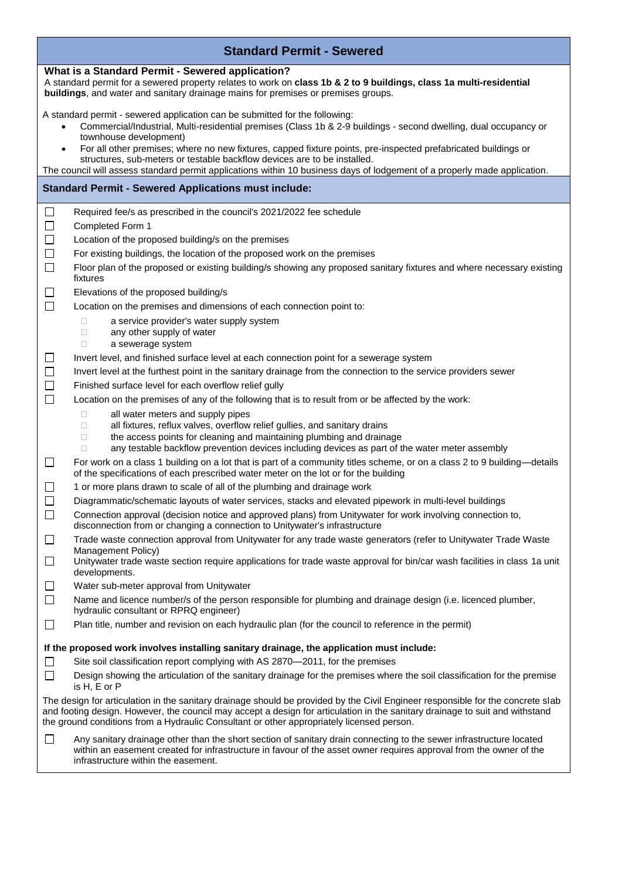| <b>Standard Permit - Sewered</b>                                                                                                                                                                                                                             |                                                                                                                                                                                                                                                                                                                                                              |  |  |  |
|--------------------------------------------------------------------------------------------------------------------------------------------------------------------------------------------------------------------------------------------------------------|--------------------------------------------------------------------------------------------------------------------------------------------------------------------------------------------------------------------------------------------------------------------------------------------------------------------------------------------------------------|--|--|--|
| What is a Standard Permit - Sewered application?<br>A standard permit for a sewered property relates to work on class 1b & 2 to 9 buildings, class 1a multi-residential<br>buildings, and water and sanitary drainage mains for premises or premises groups. |                                                                                                                                                                                                                                                                                                                                                              |  |  |  |
|                                                                                                                                                                                                                                                              | A standard permit - sewered application can be submitted for the following:<br>Commercial/Industrial, Multi-residential premises (Class 1b & 2-9 buildings - second dwelling, dual occupancy or<br>townhouse development)                                                                                                                                    |  |  |  |
| $\bullet$                                                                                                                                                                                                                                                    | For all other premises; where no new fixtures, capped fixture points, pre-inspected prefabricated buildings or<br>structures, sub-meters or testable backflow devices are to be installed.<br>The council will assess standard permit applications within 10 business days of lodgement of a properly made application.                                      |  |  |  |
|                                                                                                                                                                                                                                                              | <b>Standard Permit - Sewered Applications must include:</b>                                                                                                                                                                                                                                                                                                  |  |  |  |
|                                                                                                                                                                                                                                                              |                                                                                                                                                                                                                                                                                                                                                              |  |  |  |
| $\Box$                                                                                                                                                                                                                                                       | Required fee/s as prescribed in the council's 2021/2022 fee schedule                                                                                                                                                                                                                                                                                         |  |  |  |
| $\Box$                                                                                                                                                                                                                                                       | Completed Form 1                                                                                                                                                                                                                                                                                                                                             |  |  |  |
| $\Box$                                                                                                                                                                                                                                                       | Location of the proposed building/s on the premises                                                                                                                                                                                                                                                                                                          |  |  |  |
| $\Box$                                                                                                                                                                                                                                                       | For existing buildings, the location of the proposed work on the premises                                                                                                                                                                                                                                                                                    |  |  |  |
| $\Box$                                                                                                                                                                                                                                                       | Floor plan of the proposed or existing building/s showing any proposed sanitary fixtures and where necessary existing<br>fixtures                                                                                                                                                                                                                            |  |  |  |
| ⊔                                                                                                                                                                                                                                                            | Elevations of the proposed building/s                                                                                                                                                                                                                                                                                                                        |  |  |  |
| $\Box$                                                                                                                                                                                                                                                       | Location on the premises and dimensions of each connection point to:                                                                                                                                                                                                                                                                                         |  |  |  |
|                                                                                                                                                                                                                                                              | a service provider's water supply system<br>$\Box$                                                                                                                                                                                                                                                                                                           |  |  |  |
|                                                                                                                                                                                                                                                              | any other supply of water<br>$\Box$<br>a sewerage system<br>$\Box$                                                                                                                                                                                                                                                                                           |  |  |  |
| $\Box$                                                                                                                                                                                                                                                       | Invert level, and finished surface level at each connection point for a sewerage system                                                                                                                                                                                                                                                                      |  |  |  |
| $\Box$                                                                                                                                                                                                                                                       | Invert level at the furthest point in the sanitary drainage from the connection to the service providers sewer                                                                                                                                                                                                                                               |  |  |  |
| $\Box$                                                                                                                                                                                                                                                       | Finished surface level for each overflow relief gully                                                                                                                                                                                                                                                                                                        |  |  |  |
| $\Box$                                                                                                                                                                                                                                                       | Location on the premises of any of the following that is to result from or be affected by the work:                                                                                                                                                                                                                                                          |  |  |  |
|                                                                                                                                                                                                                                                              | all water meters and supply pipes<br>□                                                                                                                                                                                                                                                                                                                       |  |  |  |
|                                                                                                                                                                                                                                                              | all fixtures, reflux valves, overflow relief gullies, and sanitary drains<br>$\Box$<br>the access points for cleaning and maintaining plumbing and drainage<br>$\Box$                                                                                                                                                                                        |  |  |  |
|                                                                                                                                                                                                                                                              | any testable backflow prevention devices including devices as part of the water meter assembly<br>$\Box$                                                                                                                                                                                                                                                     |  |  |  |
| П                                                                                                                                                                                                                                                            | For work on a class 1 building on a lot that is part of a community titles scheme, or on a class 2 to 9 building—details<br>of the specifications of each prescribed water meter on the lot or for the building                                                                                                                                              |  |  |  |
| $\Box$                                                                                                                                                                                                                                                       | 1 or more plans drawn to scale of all of the plumbing and drainage work                                                                                                                                                                                                                                                                                      |  |  |  |
| $\Box$                                                                                                                                                                                                                                                       | Diagrammatic/schematic layouts of water services, stacks and elevated pipework in multi-level buildings                                                                                                                                                                                                                                                      |  |  |  |
| $\Box$                                                                                                                                                                                                                                                       | Connection approval (decision notice and approved plans) from Unitywater for work involving connection to,<br>disconnection from or changing a connection to Unitywater's infrastructure                                                                                                                                                                     |  |  |  |
| ப                                                                                                                                                                                                                                                            | Trade waste connection approval from Unitywater for any trade waste generators (refer to Unitywater Trade Waste<br>Management Policy)                                                                                                                                                                                                                        |  |  |  |
| □                                                                                                                                                                                                                                                            | Unitywater trade waste section require applications for trade waste approval for bin/car wash facilities in class 1a unit<br>developments.                                                                                                                                                                                                                   |  |  |  |
| $\Box$                                                                                                                                                                                                                                                       | Water sub-meter approval from Unitywater                                                                                                                                                                                                                                                                                                                     |  |  |  |
| $\Box$                                                                                                                                                                                                                                                       | Name and licence number/s of the person responsible for plumbing and drainage design (i.e. licenced plumber,<br>hydraulic consultant or RPRQ engineer)                                                                                                                                                                                                       |  |  |  |
| □                                                                                                                                                                                                                                                            | Plan title, number and revision on each hydraulic plan (for the council to reference in the permit)                                                                                                                                                                                                                                                          |  |  |  |
|                                                                                                                                                                                                                                                              | If the proposed work involves installing sanitary drainage, the application must include:                                                                                                                                                                                                                                                                    |  |  |  |
| $\Box$                                                                                                                                                                                                                                                       | Site soil classification report complying with AS 2870-2011, for the premises                                                                                                                                                                                                                                                                                |  |  |  |
| $\Box$                                                                                                                                                                                                                                                       | Design showing the articulation of the sanitary drainage for the premises where the soil classification for the premise<br>is H, E or P                                                                                                                                                                                                                      |  |  |  |
|                                                                                                                                                                                                                                                              | The design for articulation in the sanitary drainage should be provided by the Civil Engineer responsible for the concrete slab<br>and footing design. However, the council may accept a design for articulation in the sanitary drainage to suit and withstand<br>the ground conditions from a Hydraulic Consultant or other appropriately licensed person. |  |  |  |
| $\Box$                                                                                                                                                                                                                                                       | Any sanitary drainage other than the short section of sanitary drain connecting to the sewer infrastructure located<br>within an easement created for infrastructure in favour of the asset owner requires approval from the owner of the<br>infrastructure within the easement.                                                                             |  |  |  |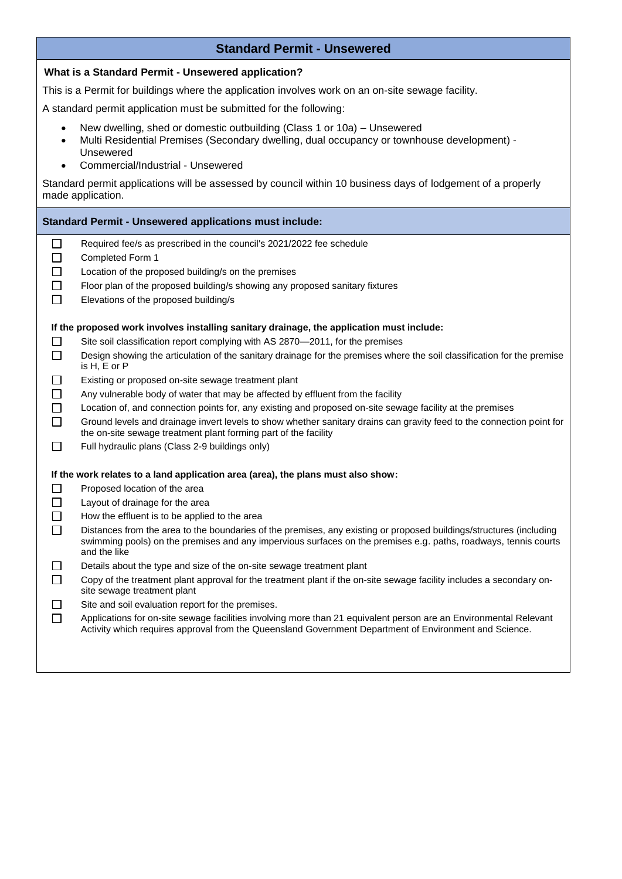### **Standard Permit - Unsewered**

| What is a Standard Permit - Unsewered application? |                                                                                                                                                                                                                                                        |  |  |
|----------------------------------------------------|--------------------------------------------------------------------------------------------------------------------------------------------------------------------------------------------------------------------------------------------------------|--|--|
|                                                    | This is a Permit for buildings where the application involves work on an on-site sewage facility.                                                                                                                                                      |  |  |
|                                                    | A standard permit application must be submitted for the following:                                                                                                                                                                                     |  |  |
| $\bullet$<br>$\bullet$                             | New dwelling, shed or domestic outbuilding (Class 1 or 10a) - Unsewered<br>Multi Residential Premises (Secondary dwelling, dual occupancy or townhouse development) -<br>Unsewered<br>Commercial/Industrial - Unsewered                                |  |  |
|                                                    | Standard permit applications will be assessed by council within 10 business days of lodgement of a properly<br>made application.                                                                                                                       |  |  |
|                                                    | <b>Standard Permit - Unsewered applications must include:</b>                                                                                                                                                                                          |  |  |
| $\mathsf{L}$                                       | Required fee/s as prescribed in the council's 2021/2022 fee schedule<br>Completed Form 1                                                                                                                                                               |  |  |
|                                                    | Location of the proposed building/s on the premises                                                                                                                                                                                                    |  |  |
|                                                    | Floor plan of the proposed building/s showing any proposed sanitary fixtures                                                                                                                                                                           |  |  |
| П                                                  | Elevations of the proposed building/s                                                                                                                                                                                                                  |  |  |
|                                                    | If the proposed work involves installing sanitary drainage, the application must include:                                                                                                                                                              |  |  |
| $\perp$                                            | Site soil classification report complying with AS 2870-2011, for the premises                                                                                                                                                                          |  |  |
| $\Box$                                             | Design showing the articulation of the sanitary drainage for the premises where the soil classification for the premise<br>is H, E or P                                                                                                                |  |  |
|                                                    | Existing or proposed on-site sewage treatment plant                                                                                                                                                                                                    |  |  |
|                                                    | Any vulnerable body of water that may be affected by effluent from the facility                                                                                                                                                                        |  |  |
|                                                    | Location of, and connection points for, any existing and proposed on-site sewage facility at the premises                                                                                                                                              |  |  |
| $\Box$                                             | Ground levels and drainage invert levels to show whether sanitary drains can gravity feed to the connection point for<br>the on-site sewage treatment plant forming part of the facility                                                               |  |  |
| $\perp$                                            | Full hydraulic plans (Class 2-9 buildings only)                                                                                                                                                                                                        |  |  |
|                                                    | If the work relates to a land application area (area), the plans must also show:                                                                                                                                                                       |  |  |
|                                                    | Proposed location of the area                                                                                                                                                                                                                          |  |  |
|                                                    | Layout of drainage for the area                                                                                                                                                                                                                        |  |  |
|                                                    | How the effluent is to be applied to the area                                                                                                                                                                                                          |  |  |
| $\Box$                                             | Distances from the area to the boundaries of the premises, any existing or proposed buildings/structures (including<br>swimming pools) on the premises and any impervious surfaces on the premises e.g. paths, roadways, tennis courts<br>and the like |  |  |
|                                                    | Details about the type and size of the on-site sewage treatment plant                                                                                                                                                                                  |  |  |
| $\Box$                                             | Copy of the treatment plant approval for the treatment plant if the on-site sewage facility includes a secondary on-<br>site sewage treatment plant                                                                                                    |  |  |
|                                                    | Site and soil evaluation report for the premises.                                                                                                                                                                                                      |  |  |
| $\Box$                                             | Applications for on-site sewage facilities involving more than 21 equivalent person are an Environmental Relevant<br>Activity which requires approval from the Queensland Government Department of Environment and Science.                            |  |  |
|                                                    |                                                                                                                                                                                                                                                        |  |  |